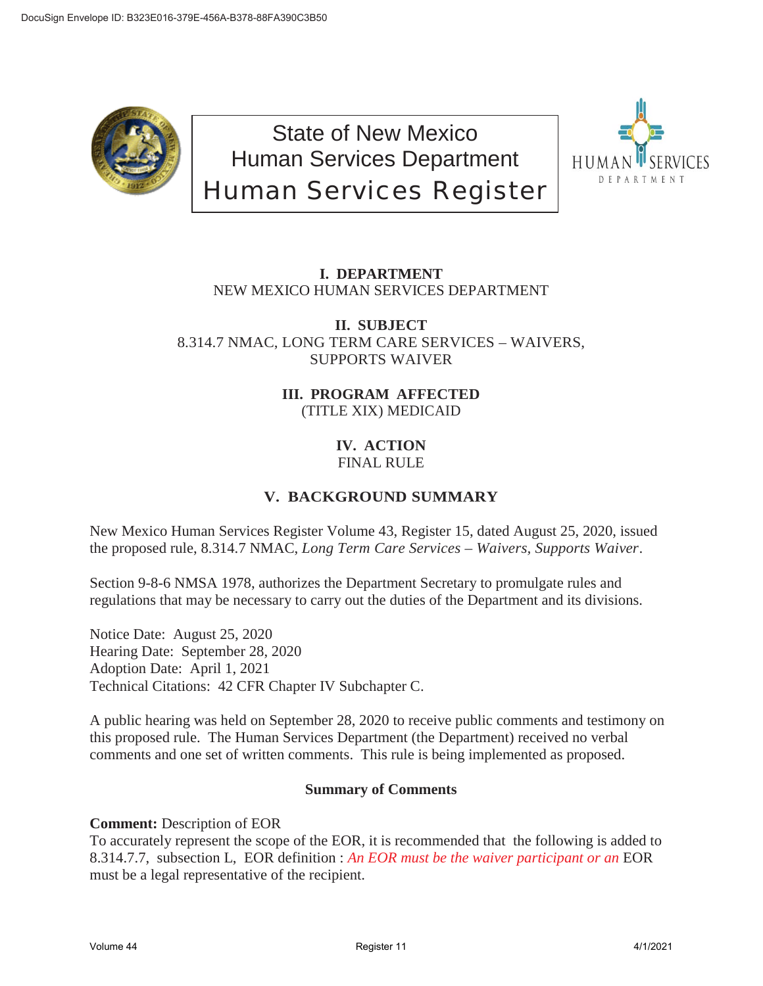

State of New Mexico Human Services Department Human Services Register



# **I. DEPARTMENT** NEW MEXICO HUMAN SERVICES DEPARTMENT

**II. SUBJECT** 8.314.7 NMAC, LONG TERM CARE SERVICES – WAIVERS, SUPPORTS WAIVER

> **III. PROGRAM AFFECTED** (TITLE XIX) MEDICAID

# **IV. ACTION** FINAL RULE

# **V. BACKGROUND SUMMARY**

New Mexico Human Services Register Volume 43, Register 15, dated August 25, 2020, issued the proposed rule, 8.314.7 NMAC, *Long Term Care Services – Waivers, Supports Waiver*.

Section 9-8-6 NMSA 1978, authorizes the Department Secretary to promulgate rules and regulations that may be necessary to carry out the duties of the Department and its divisions.

Notice Date: August 25, 2020 Hearing Date: September 28, 2020 Adoption Date: April 1, 2021 Technical Citations: 42 CFR Chapter IV Subchapter C.

A public hearing was held on September 28, 2020 to receive public comments and testimony on this proposed rule. The Human Services Department (the Department) received no verbal comments and one set of written comments. This rule is being implemented as proposed.

# **Summary of Comments**

**Comment:** Description of EOR

To accurately represent the scope of the EOR, it is recommended that the following is added to 8.314.7.7, subsection L, EOR definition : *An EOR must be the waiver participant or an* EOR must be a legal representative of the recipient.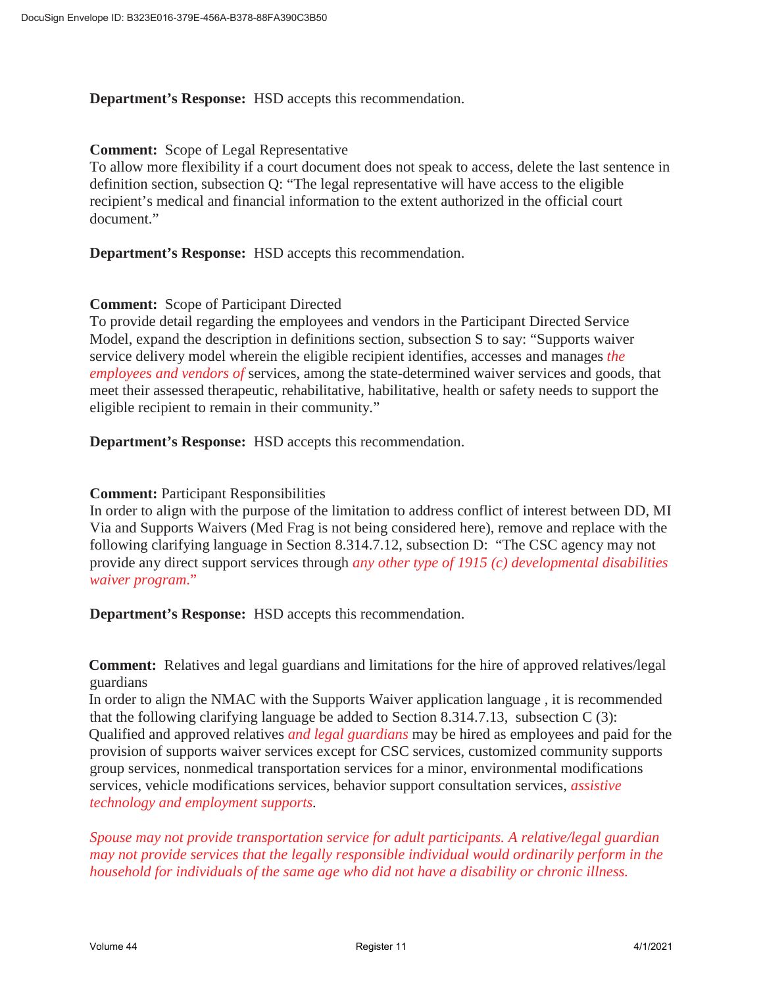**Department's Response:** HSD accepts this recommendation.

#### **Comment:** Scope of Legal Representative

To allow more flexibility if a court document does not speak to access, delete the last sentence in definition section, subsection Q: "The legal representative will have access to the eligible recipient's medical and financial information to the extent authorized in the official court document."

**Department's Response:** HSD accepts this recommendation.

## **Comment:** Scope of Participant Directed

To provide detail regarding the employees and vendors in the Participant Directed Service Model, expand the description in definitions section, subsection S to say: "Supports waiver service delivery model wherein the eligible recipient identifies, accesses and manages *the employees and vendors of* services, among the state-determined waiver services and goods, that meet their assessed therapeutic, rehabilitative, habilitative, health or safety needs to support the eligible recipient to remain in their community."

**Department's Response:** HSD accepts this recommendation.

#### **Comment:** Participant Responsibilities

In order to align with the purpose of the limitation to address conflict of interest between DD, MI Via and Supports Waivers (Med Frag is not being considered here), remove and replace with the following clarifying language in Section 8.314.7.12, subsection D: "The CSC agency may not provide any direct support services through *any other type of 1915 (c) developmental disabilities waiver program*."

**Department's Response:** HSD accepts this recommendation.

**Comment:** Relatives and legal guardians and limitations for the hire of approved relatives/legal guardians

In order to align the NMAC with the Supports Waiver application language , it is recommended that the following clarifying language be added to Section 8.314.7.13, subsection C (3): Qualified and approved relatives *and legal guardians* may be hired as employees and paid for the provision of supports waiver services except for CSC services, customized community supports group services, nonmedical transportation services for a minor, environmental modifications services, vehicle modifications services, behavior support consultation services, *assistive technology and employment supports.* 

*Spouse may not provide transportation service for adult participants. A relative/legal guardian may not provide services that the legally responsible individual would ordinarily perform in the household for individuals of the same age who did not have a disability or chronic illness.*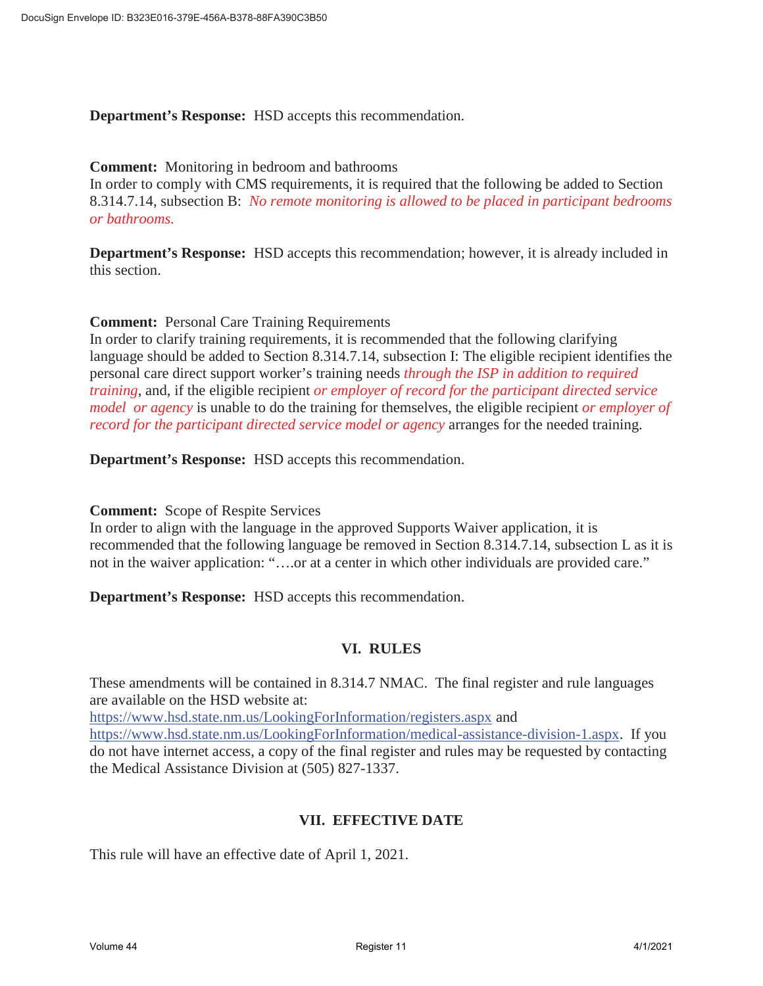**Department's Response:** HSD accepts this recommendation.

#### **Comment:** Monitoring in bedroom and bathrooms

In order to comply with CMS requirements, it is required that the following be added to Section 8.314.7.14, subsection B: *No remote monitoring is allowed to be placed in participant bedrooms or bathrooms.* 

**Department's Response:** HSD accepts this recommendation; however, it is already included in this section.

#### **Comment:** Personal Care Training Requirements

In order to clarify training requirements, it is recommended that the following clarifying language should be added to Section 8.314.7.14, subsection I: The eligible recipient identifies the personal care direct support worker's training needs *through the ISP in addition to required training*, and, if the eligible recipient *or employer of record for the participant directed service model or agency* is unable to do the training for themselves, the eligible recipient *or employer of record for the participant directed service model or agency* arranges for the needed training.

**Department's Response:** HSD accepts this recommendation.

#### **Comment:** Scope of Respite Services

In order to align with the language in the approved Supports Waiver application, it is recommended that the following language be removed in Section 8.314.7.14, subsection L as it is not in the waiver application: "….or at a center in which other individuals are provided care."

**Department's Response:** HSD accepts this recommendation.

## **VI. RULES**

These amendments will be contained in 8.314.7 NMAC. The final register and rule languages are available on the HSD website at:

https://www.hsd.state.nm.us/LookingForInformation/registers.aspx and

https://www.hsd.state.nm.us/LookingForInformation/medical-assistance-division-1.aspx. If you do not have internet access, a copy of the final register and rules may be requested by contacting the Medical Assistance Division at (505) 827-1337.

## **VII. EFFECTIVE DATE**

This rule will have an effective date of April 1, 2021.